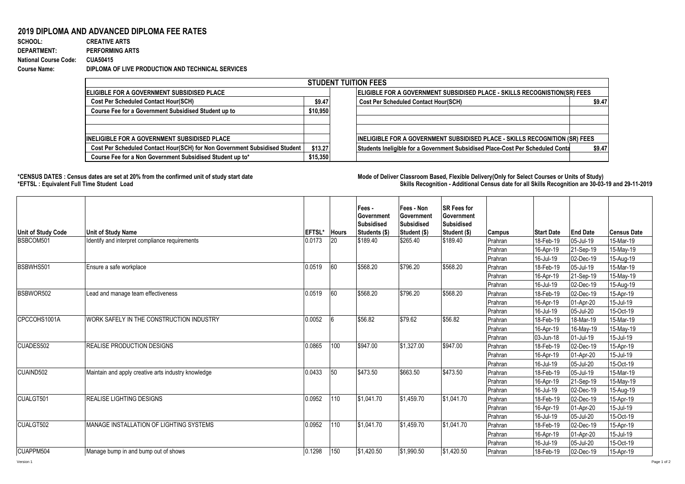## **2019 DIPLOMA AND ADVANCED DIPLOMA FEE RATES**

**SCHOOL: CREATIVE ARTS** 1156 1 0.000865052 **DEPARTMENT: PERFORMING ARTS National Course Code: CUA50415 Course Name: DIPLOMA OF LIVE PRODUCTION AND TECHNICAL SERVICES**

| <b>STUDENT TUITION FEES</b>                                                |          |                                                                                          |  |  |  |  |  |  |  |
|----------------------------------------------------------------------------|----------|------------------------------------------------------------------------------------------|--|--|--|--|--|--|--|
| <b>IELIGIBLE FOR A GOVERNMENT SUBSIDISED PLACE</b>                         |          | <b>ELIGIBLE FOR A GOVERNMENT SUBSIDISED PLACE - SKILLS RECOGNISTION(SR) FEES</b>         |  |  |  |  |  |  |  |
| <b>Cost Per Scheduled Contact Hour(SCH)</b>                                | \$9.47   | <b>Cost Per Scheduled Contact Hour(SCH)</b><br>\$9.47                                    |  |  |  |  |  |  |  |
| Course Fee for a Government Subsidised Student up to                       | \$10,950 |                                                                                          |  |  |  |  |  |  |  |
|                                                                            |          |                                                                                          |  |  |  |  |  |  |  |
|                                                                            |          |                                                                                          |  |  |  |  |  |  |  |
| <b>INELIGIBLE FOR A GOVERNMENT SUBSIDISED PLACE</b>                        |          | <b>INELIGIBLE FOR A GOVERNMENT SUBSIDISED PLACE - SKILLS RECOGNITION (SR) FEES</b>       |  |  |  |  |  |  |  |
| Cost Per Scheduled Contact Hour(SCH) for Non Government Subsidised Student | \$13.27  | Students Ineligible for a Government Subsidised Place-Cost Per Scheduled Conta<br>\$9.47 |  |  |  |  |  |  |  |
| Course Fee for a Non Government Subsidised Student up to*                  | \$15,350 |                                                                                          |  |  |  |  |  |  |  |

**\*CENSUS DATES : Census dates are set at 20% from the confirmed unit of study start date Mode of Delivery:Classroom Based, Flexible Delivery(Only for Select Courses or Units of Study) \*EFTSL : Equivalent Full Time Student Load Skills Recognition - Additional Census date for all Skills Recognition are 30-03-19 and 29-11-2019** 

| <b>Unit of Study Code</b> | <b>Unit of Study Name</b>                           | EFTSL* | <b>Hours</b> | Fees -<br>Government<br>Subsidised<br>Students (\$) | Fees - Non<br>Government<br>Subsidised<br>Student (\$) | <b>SR Fees for</b><br>Government<br>Subsidised<br>Student (\$) | <b>Campus</b> | <b>Start Date</b> | <b>End Date</b> | <b>Census Date</b> |
|---------------------------|-----------------------------------------------------|--------|--------------|-----------------------------------------------------|--------------------------------------------------------|----------------------------------------------------------------|---------------|-------------------|-----------------|--------------------|
| BSBCOM501                 | Identify and interpret compliance requirements      | 0.0173 | 20           | \$189.40                                            | \$265.40                                               | \$189.40                                                       | Prahran       | 18-Feb-19         | 05-Jul-19       | 15-Mar-19          |
|                           |                                                     |        |              |                                                     |                                                        |                                                                | Prahran       | 16-Apr-19         | 21-Sep-19       | 15-May-19          |
|                           |                                                     |        |              |                                                     |                                                        |                                                                | Prahran       | 16-Jul-19         | 02-Dec-19       | 15-Aug-19          |
| BSBWHS501                 | Ensure a safe workplace                             | 0.0519 | 60           | \$568.20                                            | \$796.20                                               | \$568.20                                                       | Prahran       | 18-Feb-19         | 05-Jul-19       | 15-Mar-19          |
|                           |                                                     |        |              |                                                     |                                                        |                                                                | Prahran       | 16-Apr-19         | 21-Sep-19       | 15-May-19          |
|                           |                                                     |        |              |                                                     |                                                        |                                                                | Prahran       | 16-Jul-19         | 02-Dec-19       | 15-Aug-19          |
| BSBWOR502                 | Lead and manage team effectiveness                  | 0.0519 | 60           | \$568.20                                            | \$796.20                                               | \$568.20                                                       | Prahran       | 18-Feb-19         | 02-Dec-19       | 15-Apr-19          |
|                           |                                                     |        |              |                                                     |                                                        |                                                                | Prahran       | 16-Apr-19         | 01-Apr-20       | 15-Jul-19          |
|                           |                                                     |        |              |                                                     |                                                        |                                                                | Prahran       | 16-Jul-19         | 05-Jul-20       | 15-Oct-19          |
| CPCCOHS1001A              | WORK SAFELY IN THE CONSTRUCTION INDUSTRY            | 0.0052 | l6           | \$56.82                                             | \$79.62                                                | \$56.82                                                        | Prahran       | 18-Feb-19         | 18-Mar-19       | 15-Mar-19          |
|                           |                                                     |        |              |                                                     |                                                        |                                                                | Prahran       | 16-Apr-19         | 16-May-19       | 15-May-19          |
|                           |                                                     |        |              |                                                     |                                                        |                                                                | Prahran       | 03-Jun-18         | 01-Jul-19       | 15-Jul-19          |
| CUADES502                 | <b>REALISE PRODUCTION DESIGNS</b>                   | 0.0865 | 100          | \$947.00                                            | \$1.327.00                                             | \$947.00                                                       | Prahran       | 18-Feb-19         | 02-Dec-19       | 15-Apr-19          |
|                           |                                                     |        |              |                                                     |                                                        |                                                                | Prahran       | 16-Apr-19         | 01-Apr-20       | 15-Jul-19          |
|                           |                                                     |        |              |                                                     |                                                        |                                                                | Prahran       | 16-Jul-19         | 05-Jul-20       | 15-Oct-19          |
| CUAIND502                 | Maintain and apply creative arts industry knowledge | 0.0433 | 50           | \$473.50                                            | \$663.50                                               | \$473.50                                                       | Prahran       | 18-Feb-19         | 05-Jul-19       | 15-Mar-19          |
|                           |                                                     |        |              |                                                     |                                                        |                                                                | Prahran       | 16-Apr-19         | 21-Sep-19       | 15-May-19          |
|                           |                                                     |        |              |                                                     |                                                        |                                                                | Prahran       | 16-Jul-19         | 02-Dec-19       | 15-Aug-19          |
| CUALGT501                 | <b>REALISE LIGHTING DESIGNS</b>                     | 0.0952 | 110          | \$1.041.70                                          | \$1,459.70                                             | \$1,041.70                                                     | Prahran       | 18-Feb-19         | 02-Dec-19       | 15-Apr-19          |
|                           |                                                     |        |              |                                                     |                                                        |                                                                | Prahran       | 16-Apr-19         | 01-Apr-20       | 15-Jul-19          |
|                           |                                                     |        |              |                                                     |                                                        |                                                                | Prahran       | 16-Jul-19         | 05-Jul-20       | 15-Oct-19          |
| CUALGT502                 | MANAGE INSTALLATION OF LIGHTING SYSTEMS             | 0.0952 | 110          | \$1.041.70                                          | \$1,459.70                                             | \$1,041.70                                                     | Prahran       | 18-Feb-19         | 02-Dec-19       | 15-Apr-19          |
|                           |                                                     |        |              |                                                     |                                                        |                                                                | Prahran       | 16-Apr-19         | 01-Apr-20       | 15-Jul-19          |
|                           |                                                     |        |              |                                                     |                                                        |                                                                | Prahran       | 16-Jul-19         | 05-Jul-20       | 15-Oct-19          |
| CUAPPM504                 | Manage bump in and bump out of shows                | 0.1298 | 150          | \$1,420.50                                          | \$1,990.50                                             | \$1,420.50                                                     | Prahran       | 18-Feb-19         | 02-Dec-19       | 15-Apr-19          |